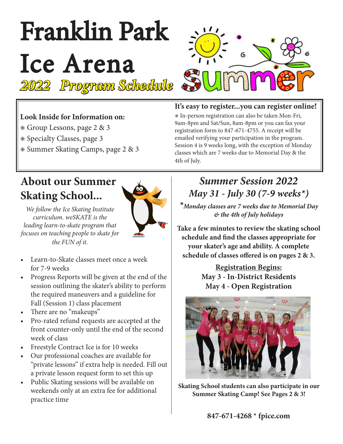# Franklin Park Ice Arena *2022 Program Schedule*



## **Look Inside for Information on:**

- ✳ Group Lessons, page 2 & 3
- ✳ Specialty Classes, page 3
- ✳ Summer Skating Camps, page 2 & 3

## **About our Summer Skating School...**



*We follow the Ice Skating Institute curriculum. weSKATE is the leading learn-to-skate program that focuses on teaching people to skate for the FUN of it.*

- Learn-to-Skate classes meet once a week for 7-9 weeks
- Progress Reports will be given at the end of the session outlining the skater's ability to perform the required maneuvers and a guideline for Fall (Session 1) class placement
- There are no "makeups"
- Pro-rated refund requests are accepted at the front counter-only until the end of the second week of class
- • Freestyle Contract Ice is for 10 weeks
- Our professional coaches are available for "private lessons" if extra help is needed. Fill out a private lesson request form to set this up
- Public Skating sessions will be available on weekends only at an extra fee for additional practice time

## **It's easy to register...you can register online!**

✳ In-person registration can also be taken Mon-Fri, 9am-8pm and Sat/Sun, 8am-8pm or you can fax your registration form to 847-671-4755. A receipt will be emailed verifying your participation in the program. Session 4 is 9 weeks long, with the exception of Monday classes which are 7 weeks due to Memorial Day & the 4th of July.

## *Summer Session 2022 May 31 - July 30 (7-9 weeks\*)*

*\*Monday classes are 7 weeks due to Memorial Day & the 4th of July holidays*

**Take a few minutes to review the skating school schedule and find the classes appropriate for your skater's age and ability. A complete schedule of classes offered is on pages 2 & 3.**

> **Registration Begins: May 3 - In-District Residents May 4 - Open Registration**



**Skating School students can also participate in our Summer Skating Camp! See Pages 2 & 3!**

**847-671-4268 \* fpice.com**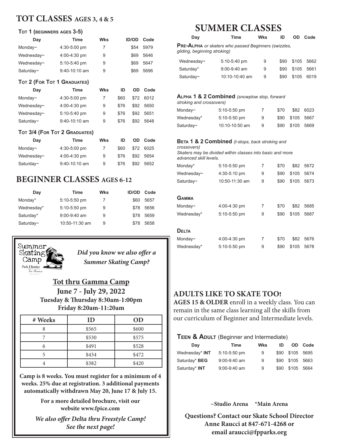## **TOT CLASSES AGES 3, 4 & 5**

#### **Tot 1 (beginners ages 3-5)**

| Day                         | <b>Time</b>     | <b>Wks</b> | <b>ID/OD</b> | Code |
|-----------------------------|-----------------|------------|--------------|------|
| Monday~                     | 4:30-5:00 pm    | 7          | \$54         | 5979 |
| Wednesday~                  | 4:00-4:30 pm    | 9          | \$69         | 5646 |
| Wednesday~                  | 5:10-5:40 pm    | 9          | \$69         | 5647 |
| Saturday~                   | $9:40-10:10$ am | 9          | \$69         | 5696 |
| TOT 2 (FOR TOT 1 GRADUATES) |                 |            |              |      |
| Dav                         | Time            | Wks        | ID<br>nn     | Code |

| Day        | rme             | <b>VVKS</b> | w    |      | <b>OD COUP</b> |
|------------|-----------------|-------------|------|------|----------------|
| Monday~    | 4:30-5:00 pm    |             | \$60 | \$72 | 6012           |
| Wednesday~ | 4:00-4:30 pm    | 9           | \$76 | \$92 | 5650           |
| Wednesday~ | 5:10-5:40 pm    | 9           | \$76 | \$92 | 5651           |
| Saturday~  | $9:40-10:10$ am | 9           | \$76 | \$92 | 5648           |

#### **Tot 3/4 (For Tot 2 Graduates)**

| Day        | Time            | Wks | ID   | OD.  | Code      |
|------------|-----------------|-----|------|------|-----------|
| Monday~    | 4:30-5:00 pm    | 7   | \$60 |      | \$72 6025 |
| Wednesday~ | 4:00-4:30 pm    | 9   | \$76 |      | \$92 5654 |
| Saturday~  | $9:40-10:10$ am | 9   | \$76 | \$92 | 5652      |

## **BEGINNER CLASSES AGES 6-12**

| Day        | Time           | <b>Wks</b> | <b>ID/OD</b> | Code |
|------------|----------------|------------|--------------|------|
| Monday*    | 5:10-5:50 pm   | 7          | \$60         | 5657 |
| Wednesday* | 5:10-5:50 pm   | 9          | \$78         | 5656 |
| Saturday*  | $9:00-9:40$ am | 9          | \$78         | 5659 |
| Saturday~  | 10:50-11:30 am | 9          | \$78         | 5658 |



*Did you know we also offer a Summer Skating Camp?*

## **Tot thru Gamma Camp June 7 - July 29, 2022 Tuesday & Thursday 8:30am-1:00pm Friday 8:20am-11:20am**

| # Weeks | ID    | OD    |
|---------|-------|-------|
|         | \$565 | \$600 |
|         | \$530 | \$575 |
| 6       | \$491 | \$528 |
|         | \$434 | \$472 |
|         | \$382 | \$420 |

**Camp is 8 weeks. You must register for a minimum of 4 weeks. 25% due at registration. 3 additional payments automatically withdrawn May 20, June 17 & July 15.** 

> **For a more detailed brochure, visit our website www.fpice.com**

*We also offer Delta thru Freestyle Camp! See the next page!*

## **SUMMER CLASSES**

| Day                                   | Time                                                                                                                    | <b>Wks</b> | ID           | OD            | Code         |
|---------------------------------------|-------------------------------------------------------------------------------------------------------------------------|------------|--------------|---------------|--------------|
| gliding, beginning stroking)          | <b>PRE-ALPHA</b> or skaters who passed Beginners (swizzles,                                                             |            |              |               |              |
| Wednesday~                            | 5:10-5:40 pm                                                                                                            | 9          | \$90         | \$105         | 5662         |
| Saturday*                             | 9:00-9:40 am                                                                                                            | 9          | \$90         | \$105         | 5661         |
| Saturday~                             | 10:10-10:40 am                                                                                                          | 9          | \$90         | \$105         | 6019         |
| stroking and crossovers)              | <b>ALPHA 1 &amp; 2 Combined</b> (snowplow stop, forward                                                                 |            |              |               |              |
| Monday~                               | 5:10-5:50 pm                                                                                                            | 7          | \$70         | \$82          | 6023         |
| Wednesday*                            | 5:10-5:50 pm                                                                                                            | 9          | \$90         | \$105         | 5667         |
| Saturday~                             | 10:10-10:50 am                                                                                                          | 9          | \$90         | \$105         | 5669         |
| crossovers)<br>advanced skill levels. | <b>BETA 1 &amp; 2 Combined</b> (t-stops, back stroking and<br>Skaters may be divided within classes into basic and more |            |              |               |              |
| Monday*                               | 5:10-5:50 pm                                                                                                            | 7          | \$70         | \$82          | 5672         |
| Wednesday~                            | 4:30-5:10 pm                                                                                                            | 9          | \$90         | \$105         | 5674         |
| Saturday~                             | 10:50-11:30 am                                                                                                          | 9          | \$90         | \$105         | 5673         |
| <b>GAMMA</b><br>Monday~<br>Wednesday* | 4:00-4:30 pm<br>5:10-5:50 pm                                                                                            | 7<br>9     | \$70<br>\$90 | \$82<br>\$105 | 5685<br>5687 |
| <b>DELTA</b>                          |                                                                                                                         |            |              |               |              |
| Monday~                               | 4:00-4:30 pm                                                                                                            | 7          | \$70         | \$82          | 5676         |
| Wednesday*                            | 5:10-5:50 pm                                                                                                            | 9          | \$90         | \$105         | 5678         |
|                                       |                                                                                                                         |            |              |               |              |

## **ADULTS LIKE TO SKATE TOO!**

**AGES 15 & OLDER** enroll in a weekly class. You can remain in the same class learning all the skills from our curriculum of Beginner and Intermediate levels.

#### **TEEN & ADULT** (Beginner and Intermediate)

| Day            | Time           | Wks | ID   | OD –       | Code |
|----------------|----------------|-----|------|------------|------|
| Wednesday* INT | 5:10-5:50 pm   | 9   | \$90 | \$105 5695 |      |
| Saturday* BEG  | $9:00-9:40$ am | 9   | \$90 | \$105 5663 |      |
| Saturday* INT  | $9:00-9:40$ am | 9   | \$90 | \$105      | 5664 |

**~Studio Arena \*Main Arena**

**Questions? Contact our Skate School Director Anne Raucci at 847-671-4268 or email araucci@fpparks.org**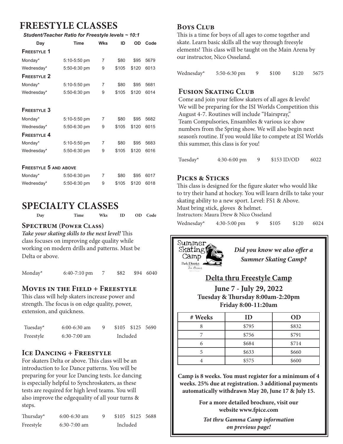## **FREESTYLE CLASSES**

*Student/Teacher Ratio for Freestyle levels ~ 10:1*

| Day                          | Time         | <b>Wks</b>     | ID    | OD    | Code |
|------------------------------|--------------|----------------|-------|-------|------|
| <b>FREESTYLE 1</b>           |              |                |       |       |      |
| Monday*                      | 5:10-5:50 pm | 7              | \$80  | \$95  | 5679 |
| Wednesday*                   | 5:50-6:30 pm | 9              | \$105 | \$120 | 6013 |
| <b>FREESTYLE 2</b>           |              |                |       |       |      |
| Monday*                      | 5:10-5:50 pm | 7              | \$80  | \$95  | 5681 |
| Wednesday*                   | 5:50-6:30 pm | 9              | \$105 | \$120 | 6014 |
| <b>FREESTYLE 3</b>           |              |                |       |       |      |
| Monday*                      | 5:10-5:50 pm | 7              | \$80  | \$95  | 5682 |
| Wednesday*                   | 5:50-6:30 pm | 9              | \$105 | \$120 | 6015 |
| <b>FREESTYLE 4</b>           |              |                |       |       |      |
| Monday*                      | 5:10-5:50 pm | $\overline{7}$ | \$80  | \$95  | 5683 |
| Wednesday*                   | 5:50-6:30 pm | 9              | \$105 | \$120 | 6016 |
| <b>FREESTYLE 5 AND ABOVE</b> |              |                |       |       |      |
| Monday*                      | 5:50-6:30 pm | 7              | \$80  | \$95  | 6017 |
| Wednesday*                   | 5:50-6:30 pm | 9              | \$105 | \$120 | 6018 |

## **SPECIALTY CLASSES**

| Day | Time | Wks | ID | OD Code |  |
|-----|------|-----|----|---------|--|
|     |      |     |    |         |  |

#### **Spectrum (Power Class)**

*Take your skating skills to the next level!* This class focuses on improving edge quality while working on modern drills and patterns. Must be Delta or above.

Monday\* 6:40-7:10 pm 7 \$82 \$94 6040

#### **Moves in the Field + Freestyle**

This class will help skaters increase power and strength. The focus is on edge quality, power, extension, and quickness.

| Tuesday*  | $6:00-6:30$ am |          |  | \$105 \$125 5690 |  |
|-----------|----------------|----------|--|------------------|--|
| Freestyle | $6:30-7:00$ am | Included |  |                  |  |

## **Ice Dancing + Freestyle**

For skaters Delta or above. This class will be an introduction to Ice Dance patterns. You will be preparing for your Ice Dancing tests. Ice dancing is especially helpful to Synchroskaters, as these tests are required for high level teams. You will also improve the edgequality of all your turns & steps.

| Thursday* | $6:00-6:30$ am |          |  | \$105 \$125 5688 |  |
|-----------|----------------|----------|--|------------------|--|
| Freestyle | $6:30-7:00$ am | Included |  |                  |  |

## **Boys Club**

This is a time for boys of all ages to come together and skate. Learn basic skills all the way through freesyle elements! This class will be taught on the Main Arena by our instructor, Nico Osseland.

| Wednesday* | $5:50-6:30$ pm |  | \$100 | \$120 | 5675 |
|------------|----------------|--|-------|-------|------|
|------------|----------------|--|-------|-------|------|

#### **Fusion Skating Club**

Come and join your fellow skaters of all ages & levels! We will be preparing for the ISI Worlds Competition this August 4-7. Routines will include "Hairspray," Team Compulsories, Ensambles & various ice show numbers from the Spring show. We will also begin next season's routine. If you would like to compete at ISI Worlds this summer, this class is for you!

Tuesday\* 4:30-6:00 pm 9 \$153 ID/OD 6022

#### **Picks & Sticks**

This class is designed for the figure skater who would like to try their hand at hockey. You will learn drills to take your skating ability to a new sport. Level: FS1 & Above. Must bring stick, gloves & helmet.

Instructors: Maura Drew & Nico Osseland

Wednesday\* 4:30-5:00 pm 9 \$105 \$120 6024



*Did you know we also offer a Summer Skating Camp?*

## **Delta thru Freestyle Camp**

**June 7 - July 29, 2022 Tuesday & Thursday 8:00am-2:20pm Friday 8:00-11:20am**

| # Weeks | ID    | <b>OD</b> |
|---------|-------|-----------|
| Ω       | \$795 | \$832     |
|         | \$756 | \$791     |
| 6       | \$684 | \$714     |
|         | \$633 | \$660     |
|         | \$575 | \$600     |

**Camp is 8 weeks. You must register for a minimum of 4 weeks. 25% due at registration. 3 additional payments automatically withdrawn May 20, June 17 & July 15.** 

> **For a more detailed brochure, visit our website www.fpice.com**

*Tot thru Gamma Camp information on previous page!*